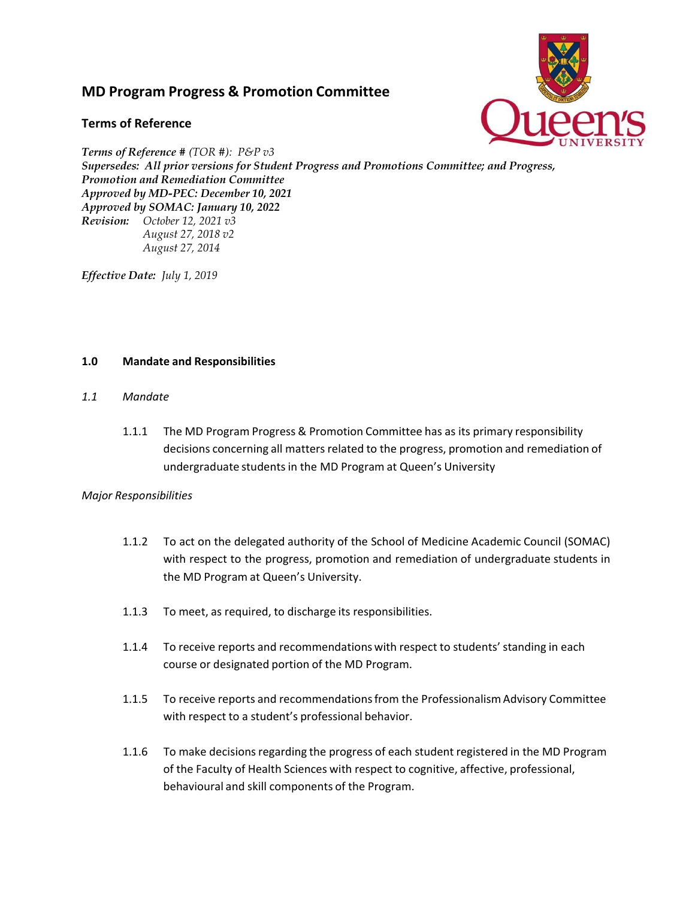# **MD Program Progress & Promotion Committee**

## **Terms of Reference**



*Terms of Reference # (TOR #): P&P v3 Supersedes: All prior versions for Student Progress and Promotions Committee; and Progress, Promotion and Remediation Committee Approved by MD-PEC: December 10, 2021 Approved by SOMAC: January 10, 2022 Revision: October 12, 2021 v3 August 27, 2018 v2 August 27, 2014* 

*Effective Date: July 1, 2019*

## **1.0 Mandate and Responsibilities**

- *1.1 Mandate*
	- 1.1.1 The MD Program Progress & Promotion Committee has as its primary responsibility decisions concerning all matters related to the progress, promotion and remediation of undergraduate students in the MD Program at Queen's University

## *Major Responsibilities*

- 1.1.2 To act on the delegated authority of the School of Medicine Academic Council (SOMAC) with respect to the progress, promotion and remediation of undergraduate students in the MD Program at Queen's University.
- 1.1.3 To meet, as required, to discharge its responsibilities.
- 1.1.4 To receive reports and recommendations with respect to students' standing in each course or designated portion of the MD Program.
- 1.1.5 To receive reports and recommendations from the Professionalism Advisory Committee with respect to a student's professional behavior.
- 1.1.6 To make decisions regarding the progress of each student registered in the MD Program of the Faculty of Health Sciences with respect to cognitive, affective, professional, behavioural and skill components of the Program.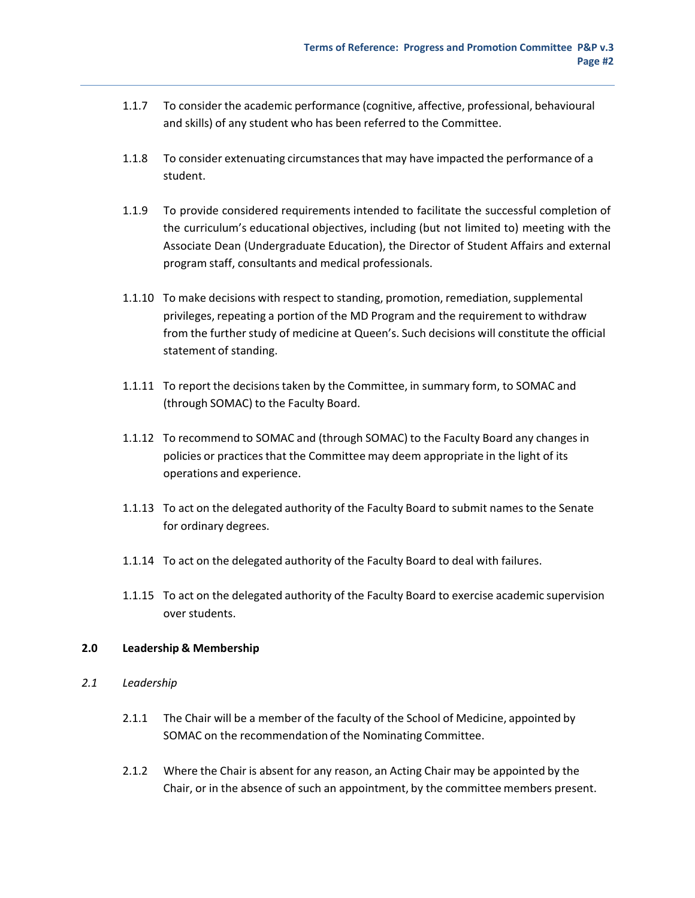- 1.1.7 To consider the academic performance (cognitive, affective, professional, behavioural and skills) of any student who has been referred to the Committee.
- 1.1.8 To consider extenuating circumstances that may have impacted the performance of a student.
- 1.1.9 To provide considered requirements intended to facilitate the successful completion of the curriculum's educational objectives, including (but not limited to) meeting with the Associate Dean (Undergraduate Education), the Director of Student Affairs and external program staff, consultants and medical professionals.
- 1.1.10 To make decisions with respect to standing, promotion, remediation, supplemental privileges, repeating a portion of the MD Program and the requirement to withdraw from the further study of medicine at Queen's. Such decisions will constitute the official statement of standing.
- 1.1.11 To report the decisions taken by the Committee, in summary form, to SOMAC and (through SOMAC) to the Faculty Board.
- 1.1.12 To recommend to SOMAC and (through SOMAC) to the Faculty Board any changes in policies or practices that the Committee may deem appropriate in the light of its operations and experience.
- 1.1.13 To act on the delegated authority of the Faculty Board to submit names to the Senate for ordinary degrees.
- 1.1.14 To act on the delegated authority of the Faculty Board to deal with failures.
- 1.1.15 To act on the delegated authority of the Faculty Board to exercise academic supervision over students.

## **2.0 Leadership & Membership**

- *2.1 Leadership*
	- 2.1.1 The Chair will be a member of the faculty of the School of Medicine, appointed by SOMAC on the recommendation of the Nominating Committee.
	- 2.1.2 Where the Chair is absent for any reason, an Acting Chair may be appointed by the Chair, or in the absence of such an appointment, by the committee members present.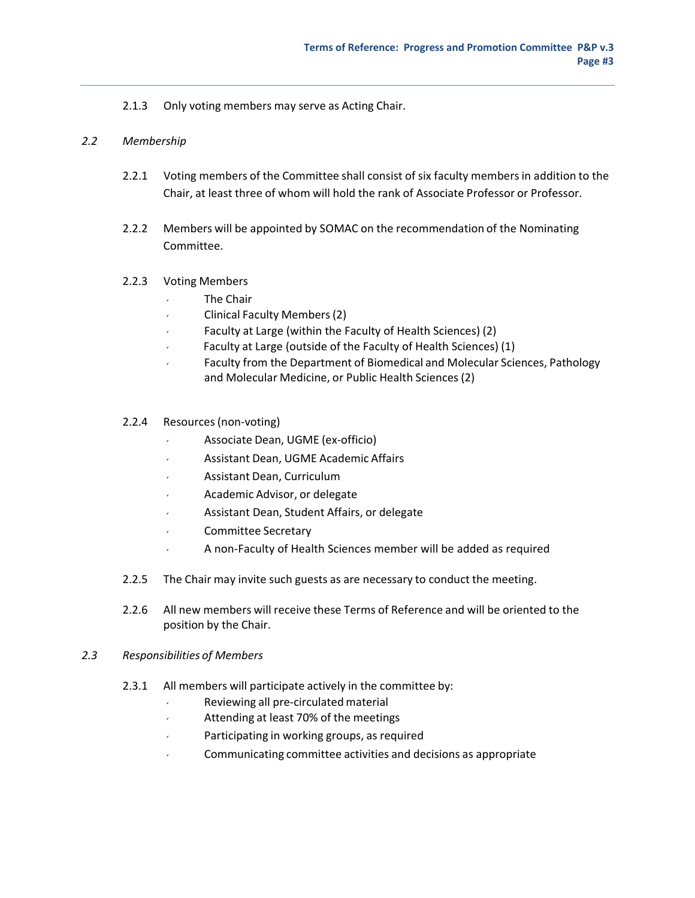## 2.1.3 Only voting members may serve as Acting Chair.

#### *2.2 Membership*

- 2.2.1 Voting members of the Committee shall consist of six faculty members in addition to the Chair, at least three of whom will hold the rank of Associate Professor or Professor.
- 2.2.2 Members will be appointed by SOMAC on the recommendation of the Nominating Committee.

#### 2.2.3 Voting Members

- The Chair
- Clinical Faculty Members (2)
- $\sqrt{2}$  Faculty at Large (within the Faculty of Health Sciences) (2)
- Faculty at Large (outside of the Faculty of Health Sciences) (1)
- Faculty from the Department of Biomedical and Molecular Sciences, Pathology and Molecular Medicine, or Public Health Sciences (2)

#### 2.2.4 Resources (non‐voting)

- Associate Dean, UGME (ex‐officio)
- Assistant Dean, UGME Academic Affairs
- Assistant Dean, Curriculum
- Academic Advisor, or delegate
- Assistant Dean, Student Affairs, or delegate
- Committee Secretary
- A non‐Faculty of Health Sciences member will be added as required
- 2.2.5 The Chair may invite such guests as are necessary to conduct the meeting.
- 2.2.6 All new members will receive these Terms of Reference and will be oriented to the position by the Chair.

#### *2.3 Responsibilities of Members*

- 2.3.1 All members will participate actively in the committee by:
	- Reviewing all pre‐circulated material
	- Attending at least 70% of the meetings
	- Participating in working groups, as required
	- Communicating committee activities and decisions as appropriate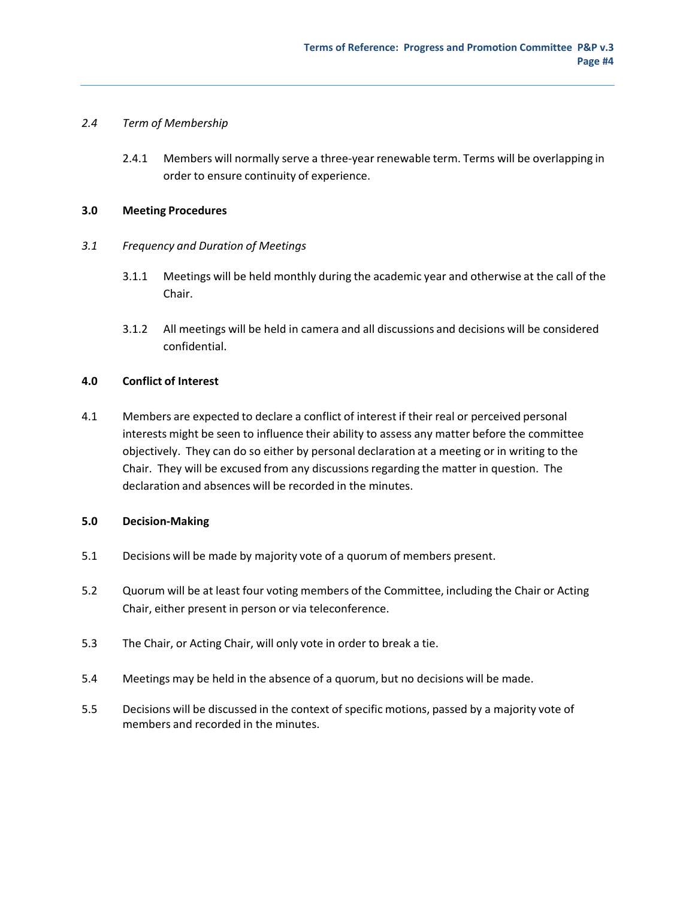## *2.4 Term of Membership*

2.4.1 Members will normally serve a three-year renewable term. Terms will be overlapping in order to ensure continuity of experience.

#### **3.0 Meeting Procedures**

- *3.1 Frequency and Duration of Meetings*
	- 3.1.1 Meetings will be held monthly during the academic year and otherwise at the call of the Chair.
	- 3.1.2 All meetings will be held in camera and all discussions and decisions will be considered confidential.

## **4.0 Conflict of Interest**

4.1 Members are expected to declare a conflict of interest if their real or perceived personal interests might be seen to influence their ability to assess any matter before the committee objectively. They can do so either by personal declaration at a meeting or in writing to the Chair. They will be excused from any discussions regarding the matter in question. The declaration and absences will be recorded in the minutes.

## **5.0 Decision‐Making**

- 5.1 Decisions will be made by majority vote of a quorum of members present.
- 5.2 Quorum will be at least four voting members of the Committee, including the Chair or Acting Chair, either present in person or via teleconference.
- 5.3 The Chair, or Acting Chair, will only vote in order to break a tie.
- 5.4 Meetings may be held in the absence of a quorum, but no decisions will be made.
- 5.5 Decisions will be discussed in the context of specific motions, passed by a majority vote of members and recorded in the minutes.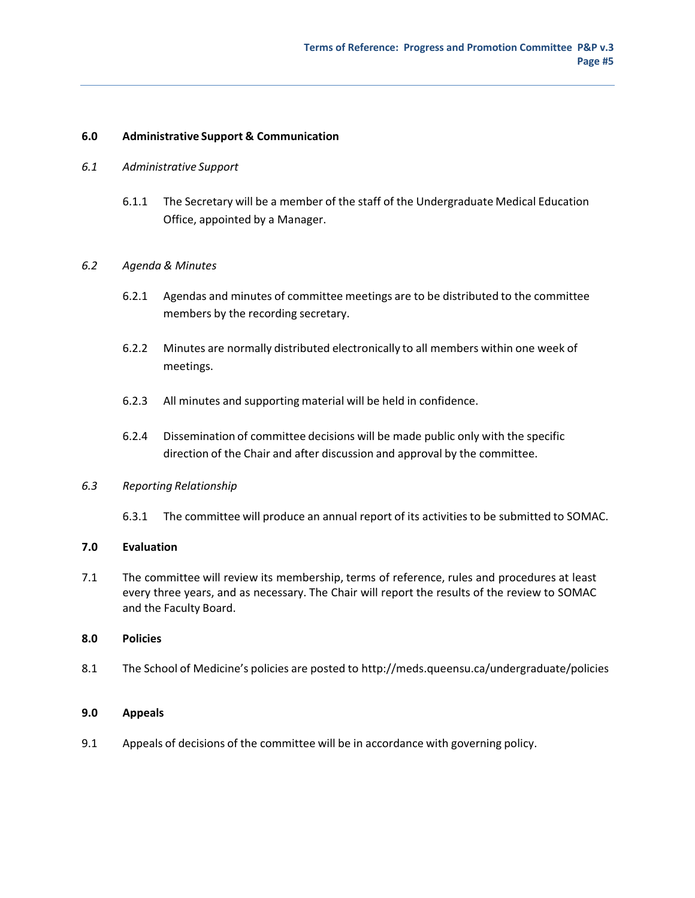#### **6.0 Administrative Support & Communication**

- *6.1 Administrative Support*
	- 6.1.1 The Secretary will be a member of the staff of the Undergraduate Medical Education Office, appointed by a Manager.

#### *6.2 Agenda & Minutes*

- 6.2.1 Agendas and minutes of committee meetings are to be distributed to the committee members by the recording secretary.
- 6.2.2 Minutes are normally distributed electronically to all members within one week of meetings.
- 6.2.3 All minutes and supporting material will be held in confidence.
- 6.2.4 Dissemination of committee decisions will be made public only with the specific direction of the Chair and after discussion and approval by the committee.

#### *6.3 Reporting Relationship*

6.3.1 The committee will produce an annual report of its activities to be submitted to SOMAC.

#### **7.0 Evaluation**

7.1 The committee will review its membership, terms of reference, rules and procedures at least every three years, and as necessary. The Chair will report the results of the review to SOMAC and the Faculty Board.

#### **8.0 Policies**

8.1 The School of Medicine's policies are posted to http://meds.queensu.ca/undergraduate/policies

## **9.0 Appeals**

9.1 Appeals of decisions of the committee will be in accordance with governing policy.